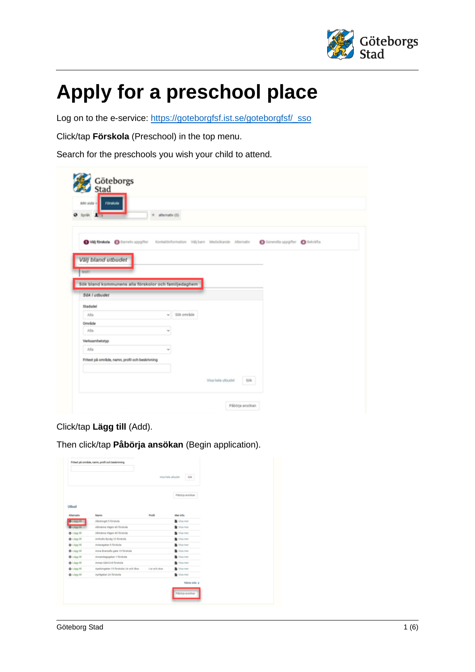

## **Apply for a preschool place**

Log on to the e-service: [https://goteborgfsf.ist.se/goteborgfsf/\\_sso](https://goteborgfsf.ist.se/goteborgfsf/_sso)

Click/tap **Förskola** (Preschool) in the top menu.

Search for the preschools you wish your child to attend.

| Afin side =<br>Förskola                              | Göteborgs<br>Stad    |                     |                                                                                                                        |  |
|------------------------------------------------------|----------------------|---------------------|------------------------------------------------------------------------------------------------------------------------|--|
| $Q$ Språk $\pm$ 1                                    | $\pm$ alternativ (0) |                     |                                                                                                                        |  |
| Välj bland utbudet<br>bestt .                        |                      |                     | O VII Strakels @ Barnets uppgifter Kontaktinformation VIII barn Medabkande Alternativ @ Generella uppgifter @ Bekräfta |  |
|                                                      |                      |                     |                                                                                                                        |  |
| Sök bland kommunens alla förskolor och familjedaghem |                      |                     |                                                                                                                        |  |
| Sök i utbuder                                        |                      |                     |                                                                                                                        |  |
| Stadsdel                                             |                      |                     |                                                                                                                        |  |
| AIBB                                                 |                      | $~\vee~$ 50k område |                                                                                                                        |  |
| Område                                               |                      |                     |                                                                                                                        |  |
| Alla                                                 | w                    |                     |                                                                                                                        |  |
| Verksamhetstyp                                       |                      |                     |                                                                                                                        |  |
| Alla                                                 | ٧                    |                     |                                                                                                                        |  |
| Fritext på område, namn, profil och beskrivning      |                      |                     |                                                                                                                        |  |
|                                                      |                      |                     |                                                                                                                        |  |

## Click/tap **Lägg till** (Add).

Then click/tap **Påbörja ansökan** (Begin application).

|                    |                                        |               | Visa hela utbudet<br>50k |  |
|--------------------|----------------------------------------|---------------|--------------------------|--|
|                    |                                        |               | Pábörja ansökan          |  |
| Utbud              |                                        |               |                          |  |
| Alternativ         | Namn                                   | Profil        | Mer info.                |  |
| O Lagg 18          | Albotorget 5 förskola                  |               | Wisa mer                 |  |
| O Llog till        | Allmänna Vägen 40 förskola             |               | Visa mer                 |  |
| <b>Q</b> Ligg till | Allmänna Vägen 40 förskola             |               | Visa mer                 |  |
| O Ligg till        | Amhults Byväg 10 förskola              |               | Visa mer                 |  |
| O Lligg till       | Aniaragatan 5 förskola                 |               | Visa mer                 |  |
| O Lagg till        | Anna Branzells gata 15 förskola        |               | Visa mer                 |  |
| <b>O</b> Lagg till | Annandagsgatan 1 förskola              |               | Visa mer                 |  |
| O Lligg till       | Annas Gård 6-8 förskola                |               | Visa mer                 |  |
| O Lligg till       | Apelsingatan 15 förskola i Ur och Skur | I ur och skur | Wisa mer                 |  |
| O Lagg till        | Aprilgatan 2A förskola                 |               | With mer                 |  |
|                    |                                        |               | Nästa sida >             |  |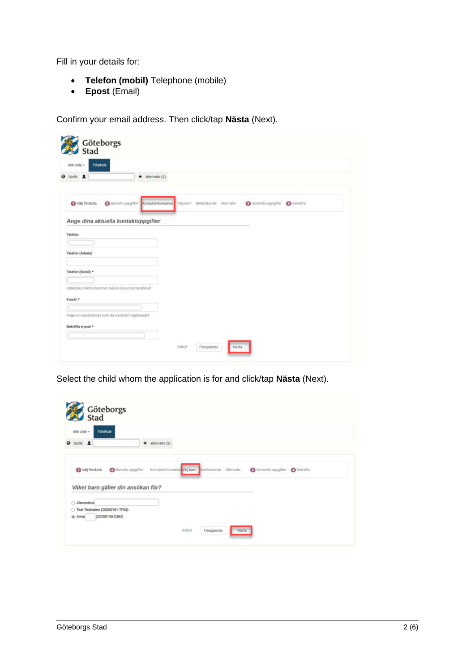Fill in your details for:

- **Telefon (mobil)** Telephone (mobile)
- **Epost** (Email)

Confirm your email address. Then click/tap **Nästa** (Next).

| Förskola<br>Min side -                                                |                                                                                                      |
|-----------------------------------------------------------------------|------------------------------------------------------------------------------------------------------|
| @ Språk 1<br>$\star$ alternativ (2)                                   |                                                                                                      |
|                                                                       |                                                                                                      |
| Välj förskola                                                         | Barnets uppgifter Kontaktinformation Välj barn Medsökande Alternativ<br>Generella uppgifter Bekräfta |
|                                                                       |                                                                                                      |
| Ange dina aktuella kontaktuppgifter                                   |                                                                                                      |
|                                                                       |                                                                                                      |
| Telefon                                                               |                                                                                                      |
|                                                                       |                                                                                                      |
| Telefon (Arbete)                                                      |                                                                                                      |
|                                                                       |                                                                                                      |
|                                                                       |                                                                                                      |
|                                                                       |                                                                                                      |
|                                                                       |                                                                                                      |
| Telefon (Mobil) *<br>Utländska telefonnummer måste börja med landskod |                                                                                                      |
|                                                                       |                                                                                                      |
|                                                                       |                                                                                                      |
| E-post *<br>Ange en e-postadress som du använder regelbundet          |                                                                                                      |
|                                                                       |                                                                                                      |
| Bekräfta e-post *                                                     |                                                                                                      |

Select the child whom the application is for and click/tap **Nästa** (Next).

| Göteborgs<br>Stad<br>Min sida -<br>Förskola                                          |                        |                                                    |                              |  |
|--------------------------------------------------------------------------------------|------------------------|----------------------------------------------------|------------------------------|--|
| <b>Q</b> Språk 1                                                                     | $\star$ alternativ (2) |                                                    |                              |  |
| Välj förskola                                                                        | Barnets uppgifter      | Kontaktinformation Valj barn Medsökande Alternativ | Generella uppgifter Bekräfta |  |
|                                                                                      |                        |                                                    |                              |  |
|                                                                                      |                        |                                                    |                              |  |
|                                                                                      |                        |                                                    |                              |  |
| Vilket barn gäller din ansökan för?<br>Alexandros<br>○ Test Testnamn (20200101-TF03) |                        |                                                    |                              |  |
| (20200108-2383)<br>@ Anna                                                            |                        |                                                    |                              |  |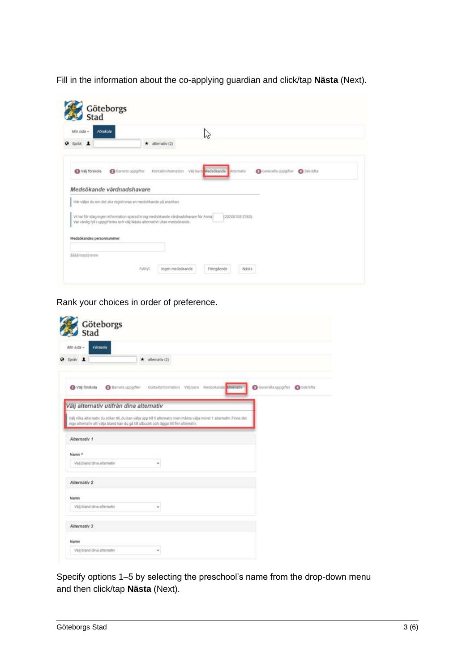Fill in the information about the co-applying guardian and click/tap **Nästa** (Next).

| Min sida -<br><b>Förskola</b> |                                                                                    | ピ                                       |                  |                                |  |
|-------------------------------|------------------------------------------------------------------------------------|-----------------------------------------|------------------|--------------------------------|--|
| Språk 1                       | alternativ (2)<br>$\star$                                                          |                                         |                  |                                |  |
| Valj förskola                 | Barnets uppgifter                                                                  | Kontaktinformation Val) barn Medsökande | Alternativ       | Generalia uppgifter @ Bekräfta |  |
| Medsökande vårdnadshavare     |                                                                                    |                                         |                  |                                |  |
|                               |                                                                                    |                                         |                  |                                |  |
|                               |                                                                                    |                                         |                  |                                |  |
|                               | Här väljer du om det ska registreras en medsökande på ansökan.                     |                                         |                  |                                |  |
|                               | Vi har för idag ingen information sparad kring medsökande vårdradshavare för Anna) |                                         | (20200108-2383). |                                |  |
|                               | Var värlig fyll i uppgifterna och vili) Nästa alternativt Utan medsökande.         |                                         |                  |                                |  |
| Medsökandes personnummer      |                                                                                    |                                         |                  |                                |  |

Rank your choices in order of preference.

| <b>Förskola</b><br>Min sida -<br>Språk 1 |                                         | alternativ (2)<br>*                                                                    |                                                                                                                       |                               |
|------------------------------------------|-----------------------------------------|----------------------------------------------------------------------------------------|-----------------------------------------------------------------------------------------------------------------------|-------------------------------|
|                                          |                                         |                                                                                        |                                                                                                                       |                               |
| Val förskola                             |                                         |                                                                                        | Barnets uppgifter Kontaktinformation Välj barn Medsökande Memativ                                                     | Generala uppgifter G Bekräfta |
|                                          | Välj alternativ utifrån dina alternativ |                                                                                        |                                                                                                                       |                               |
|                                          |                                         |                                                                                        | Välj vilka alternativ du söker till, du kan välja upp till 5 alternativ men måste välja minst 1 alternativ. Finns det |                               |
|                                          |                                         | inga alternativ att välja bland kan du gå till utbudet och lägga till fler alternativ. |                                                                                                                       |                               |
| Alternativ 1                             |                                         |                                                                                        |                                                                                                                       |                               |
|                                          |                                         |                                                                                        |                                                                                                                       |                               |
| Namn *                                   |                                         |                                                                                        |                                                                                                                       |                               |
| Välj bland dina alternativ               |                                         | v                                                                                      |                                                                                                                       |                               |
|                                          |                                         |                                                                                        |                                                                                                                       |                               |
| Alternativ 2                             |                                         |                                                                                        |                                                                                                                       |                               |
| Namn                                     |                                         |                                                                                        |                                                                                                                       |                               |
| Välj bland dina alternativ               |                                         | w.                                                                                     |                                                                                                                       |                               |
| Alternativ 3                             |                                         |                                                                                        |                                                                                                                       |                               |
| Namn                                     |                                         |                                                                                        |                                                                                                                       |                               |

Specify options 1–5 by selecting the preschool's name from the drop-down menu and then click/tap **Nästa** (Next).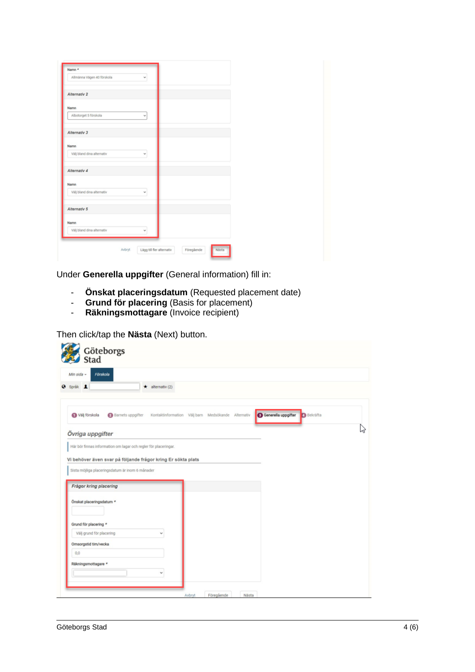| Allmänna Vägen 40 förskola |        | v                         |            |       |
|----------------------------|--------|---------------------------|------------|-------|
| Alternativ 2               |        |                           |            |       |
| Namn                       |        |                           |            |       |
| Albotorget 5 förskola      |        | v                         |            |       |
| Alternativ 3               |        |                           |            |       |
| Namn                       |        |                           |            |       |
| Välj bland dina alternativ |        | v                         |            |       |
| Alternativ 4               |        |                           |            |       |
| Namn                       |        |                           |            |       |
| Välj bland dina alternativ |        | v                         |            |       |
| Alternativ 5               |        |                           |            |       |
| Namn                       |        |                           |            |       |
| Välj bland dina alternativ |        | v                         |            |       |
|                            | Avbryt | Lägg till fler alternativ | Föregående | Nästa |

Under **Generella uppgifter** (General information) fill in:

- **Önskat placeringsdatum** (Requested placement date)
- **Grund för placering** (Basis for placement)
- **Räkningsmottagare** (Invoice recipient)

Then click/tap the **Nästa** (Next) button.

| Förskola<br>Min sida -                                          |                                                    |  |                                          |  |
|-----------------------------------------------------------------|----------------------------------------------------|--|------------------------------------------|--|
| Språk 1                                                         | $\star$ alternativ (2)                             |  |                                          |  |
| Välj förskola<br><b>Barnets</b> uppgifter                       | Kontaktinformation Välj barn Medsökande Alternativ |  | Generella uppgifter<br><b>B</b> Bekräfta |  |
| Övriga uppgifter                                                |                                                    |  |                                          |  |
| Här bör finnas information om lagar och regler för placeringar. |                                                    |  |                                          |  |
| Vi behöver även svar på följande frågor kring Er sökta plats    |                                                    |  |                                          |  |
| Sista möjliga placeringsdatum är inom 6 månader                 |                                                    |  |                                          |  |
|                                                                 |                                                    |  |                                          |  |
|                                                                 |                                                    |  |                                          |  |
| Frågor kring placering                                          |                                                    |  |                                          |  |
| Önskat placeringsdatum *                                        |                                                    |  |                                          |  |
|                                                                 |                                                    |  |                                          |  |
|                                                                 |                                                    |  |                                          |  |
| Grund för placering *<br>Välj grund för placering               |                                                    |  |                                          |  |
| Omsorgstid tim/vecka                                            |                                                    |  |                                          |  |
| 0,0                                                             |                                                    |  |                                          |  |
| Räkningsmottagare *                                             |                                                    |  |                                          |  |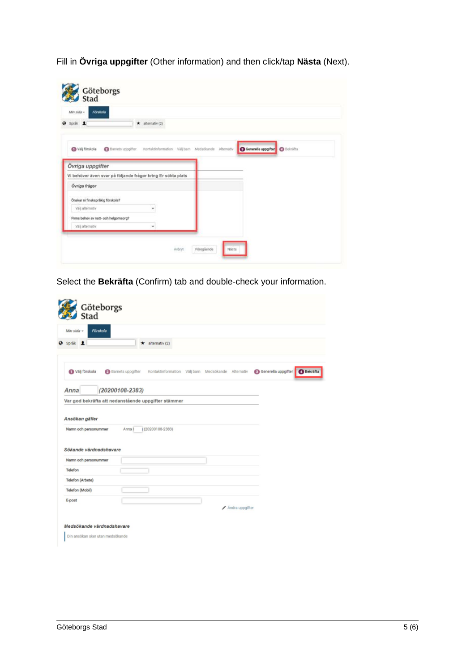Fill in **Övriga uppgifter** (Other information) and then click/tap **Nästa** (Next).

| <b>O</b> Sprik 1                                             | $\star$ alternativ (2)                                                |                                |  |
|--------------------------------------------------------------|-----------------------------------------------------------------------|--------------------------------|--|
| Välj förskola                                                | Samets uppgifter. Kontaktinformation Välj barn Medsökande Alternativ. | Generella uppgifter G Bekräfta |  |
| Övriga uppgifter                                             |                                                                       |                                |  |
| Vi behöver även svar på följande frågor kring Er sökta plats |                                                                       |                                |  |
| Övriga frågor                                                |                                                                       |                                |  |
| Önskar ni finskspråkig förskola?                             |                                                                       |                                |  |
| Välj alternativ                                              | v                                                                     |                                |  |
|                                                              |                                                                       |                                |  |
| Finns behov av natt- och helgomsorg?                         |                                                                       |                                |  |

Select the **Bekräfta** (Confirm) tab and double-check your information.

|                                                     | Göteborgs<br>Stad   |                                                    |  |                 |                                |  |
|-----------------------------------------------------|---------------------|----------------------------------------------------|--|-----------------|--------------------------------|--|
| Min sida $-$<br>Förskola                            |                     |                                                    |  |                 |                                |  |
| <b>Ø</b> Språk 1                                    |                     | alternativ (2)                                     |  |                 |                                |  |
| Välj förskola                                       | Barnets uppgifter   | Kontaktinformation Välj barn Medsökande Alternativ |  |                 | G Generella uppgifter Bekräfta |  |
| Anna                                                | $(20200108 - 2383)$ |                                                    |  |                 |                                |  |
| Var god bekräfta att nedanstående uppgifter stämmer |                     |                                                    |  |                 |                                |  |
|                                                     |                     |                                                    |  |                 |                                |  |
|                                                     |                     |                                                    |  |                 |                                |  |
| Ansökan gäller<br>Namn och personummer              | Anna I              | $(20200108 - 2383)$                                |  |                 |                                |  |
|                                                     |                     |                                                    |  |                 |                                |  |
| Sökande vårdnadshavare                              |                     |                                                    |  |                 |                                |  |
| Namn och personummer                                |                     |                                                    |  |                 |                                |  |
| Telefon                                             |                     |                                                    |  |                 |                                |  |
| Telefon (Arbete)                                    |                     |                                                    |  |                 |                                |  |
| Telefon (Mobil)                                     |                     |                                                    |  |                 |                                |  |
| E-post                                              |                     |                                                    |  |                 |                                |  |
|                                                     |                     |                                                    |  | Andra uppgifter |                                |  |
| Medsökande vårdnadshavare                           |                     |                                                    |  |                 |                                |  |